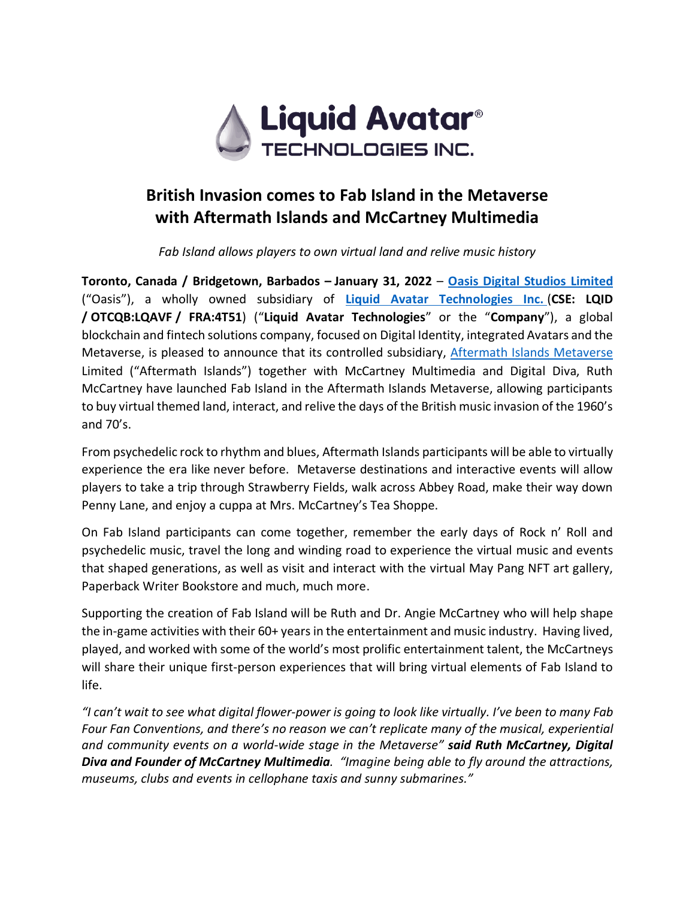

# **British Invasion comes to Fab Island in the Metaverse with Aftermath Islands and McCartney Multimedia**

*Fab Island allows players to own virtual land and relive music history*

**Toronto, Canada / Bridgetown, Barbados – January 31, 2022** – **[Oasis Digital Studios](https://oasisdigitalstudios.com/) Limited** ("Oasis"), a wholly owned subsidiary of **[Liquid Avatar Technologies Inc.](https://liquidavatartechnologies.com/)** (**CSE: LQID / OTCQB:LQAVF / FRA:4T51**) ("**Liquid Avatar Technologies**" or the "**Company**"), a global blockchain and fintech solutions company, focused on Digital Identity, integrated Avatars and the Metaverse, is pleased to announce that its controlled subsidiary, [Aftermath Islands Metaverse](http://www.aftermathislands.com/) Limited ("Aftermath Islands") together with McCartney Multimedia and Digital Diva, Ruth McCartney have launched Fab Island in the Aftermath Islands Metaverse, allowing participants to buy virtual themed land, interact, and relive the days of the British music invasion of the 1960's and 70's.

From psychedelic rock to rhythm and blues, Aftermath Islands participants will be able to virtually experience the era like never before. Metaverse destinations and interactive events will allow players to take a trip through Strawberry Fields, walk across Abbey Road, make their way down Penny Lane, and enjoy a cuppa at Mrs. McCartney's Tea Shoppe.

On Fab Island participants can come together, remember the early days of Rock n' Roll and psychedelic music, travel the long and winding road to experience the virtual music and events that shaped generations, as well as visit and interact with the virtual May Pang NFT art gallery, Paperback Writer Bookstore and much, much more.

Supporting the creation of Fab Island will be Ruth and Dr. Angie McCartney who will help shape the in-game activities with their 60+ years in the entertainment and music industry. Having lived, played, and worked with some of the world's most prolific entertainment talent, the McCartneys will share their unique first-person experiences that will bring virtual elements of Fab Island to life.

"I can't wait to see what digital flower-power is going to look like virtually. I've been to many Fab *Four Fan Conventions, and there's no reason we can't replicate many of the musical, experiential and community events on a world-wide stage in the Metaverse" said Ruth McCartney, Digital Diva and Founder of McCartney Multimedia. "Imagine being able to fly around the attractions, museums, clubs and events in cellophane taxis and sunny submarines."*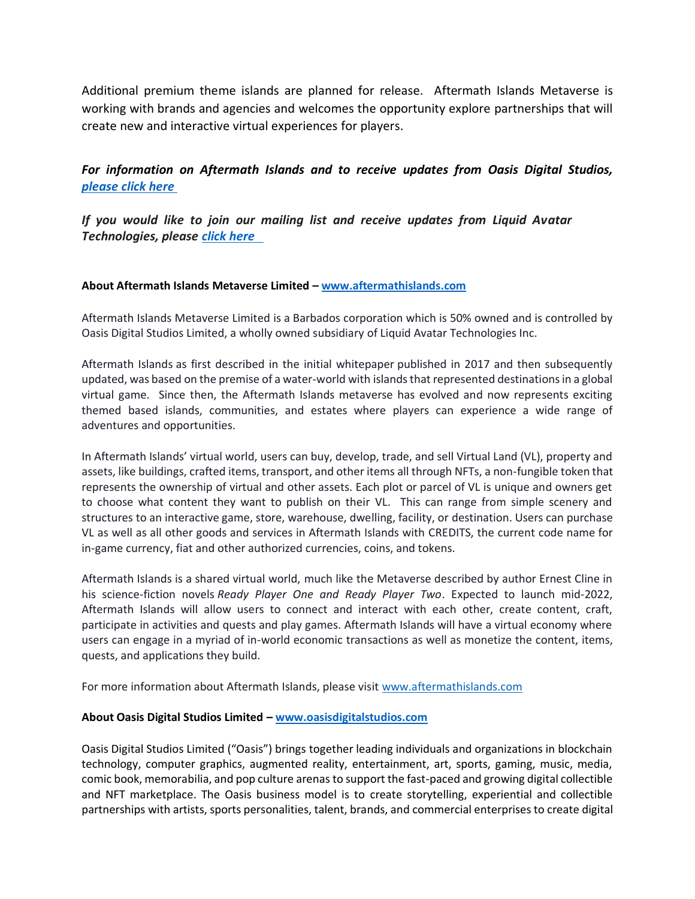Additional premium theme islands are planned for release. Aftermath Islands Metaverse is working with brands and agencies and welcomes the opportunity explore partnerships that will create new and interactive virtual experiences for players.

*For information on Aftermath Islands and to receive updates from Oasis Digital Studios, please [click here](https://share.hsforms.com/1bSgqjoO8SjmF58FU9WhPyA4rqa5)*

*If you would like to join our mailing list and receive updates from Liquid Avatar Technologies, please [click here](https://hello.liquidavatar.com/liquid-avatar-updates)* 

## **About Aftermath Islands Metaverse Limited – [www.aftermathislands.com](https://aftermathislands.com/)**

Aftermath Islands Metaverse Limited is a Barbados corporation which is 50% owned and is controlled by Oasis Digital Studios Limited, a wholly owned subsidiary of Liquid Avatar Technologies Inc.

Aftermath Islands as first described in the initial whitepaper published in 2017 and then subsequently updated, was based on the premise of a water-world with islands that represented destinations in a global virtual game. Since then, the Aftermath Islands metaverse has evolved and now represents exciting themed based islands, communities, and estates where players can experience a wide range of adventures and opportunities.

In Aftermath Islands' virtual world, users can buy, develop, trade, and sell Virtual Land (VL), property and assets, like buildings, crafted items, transport, and other items all through NFTs, a non-fungible token that represents the ownership of virtual and other assets. Each plot or parcel of VL is unique and owners get to choose what content they want to publish on their VL. This can range from simple scenery and structures to an interactive game, store, warehouse, dwelling, facility, or destination. Users can purchase VL as well as all other goods and services in Aftermath Islands with CREDITS, the current code name for in-game currency, fiat and other authorized currencies, coins, and tokens.

Aftermath Islands is a shared virtual world, much like the Metaverse described by author Ernest Cline in his science-fiction novels *Ready Player One and Ready Player Two*. Expected to launch mid-2022, Aftermath Islands will allow users to connect and interact with each other, create content, craft, participate in activities and quests and play games. Aftermath Islands will have a virtual economy where users can engage in a myriad of in-world economic transactions as well as monetize the content, items, quests, and applications they build.

For more information about Aftermath Islands, please visit [www.aftermathislands.com](https://aftermathislands.com/)

## **About Oasis Digital Studios Limited – [www.oasisdigitalstudios.com](https://oasisdigitalstudios.com/)**

Oasis Digital Studios Limited ("Oasis") brings together leading individuals and organizations in blockchain technology, computer graphics, augmented reality, entertainment, art, sports, gaming, music, media, comic book, memorabilia, and pop culture arenas to support the fast-paced and growing digital collectible and NFT marketplace. The Oasis business model is to create storytelling, experiential and collectible partnerships with artists, sports personalities, talent, brands, and commercial enterprises to create digital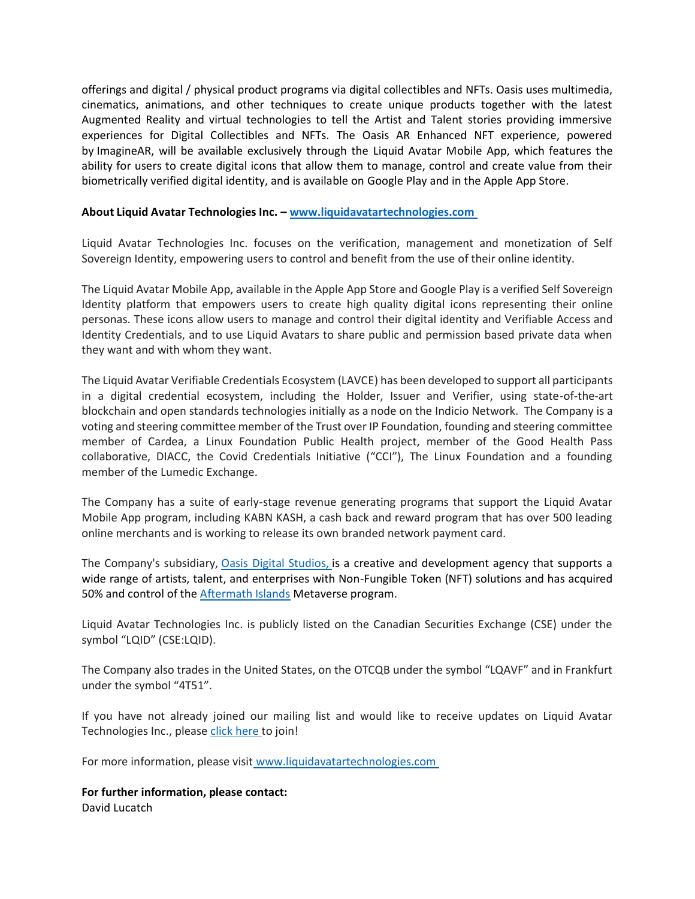offerings and digital / physical product programs via digital collectibles and NFTs. Oasis uses multimedia, cinematics, animations, and other techniques to create unique products together with the latest Augmented Reality and virtual technologies to tell the Artist and Talent stories providing immersive experiences for Digital Collectibles and NFTs. The Oasis AR Enhanced NFT experience, powered by ImagineAR, will be available exclusively through the Liquid Avatar Mobile App, which features the ability for users to create digital icons that allow them to manage, control and create value from their biometrically verified digital identity, and is available on Google Play and in the Apple App Store.

#### **About Liquid Avatar Technologies Inc. – [www.liquidavatartechnologies.com](https://liquidavatartechnologies.com/)**

Liquid Avatar Technologies Inc. focuses on the verification, management and monetization of Self Sovereign Identity, empowering users to control and benefit from the use of their online identity.

The Liquid Avatar Mobile App, available in the Apple App Store and Google Play is a verified Self Sovereign Identity platform that empowers users to create high quality digital icons representing their online personas. These icons allow users to manage and control their digital identity and Verifiable Access and Identity Credentials, and to use Liquid Avatars to share public and permission based private data when they want and with whom they want.

The Liquid Avatar Verifiable Credentials Ecosystem (LAVCE) has been developed to support all participants in a digital credential ecosystem, including the Holder, Issuer and Verifier, using state-of-the-art blockchain and open standards technologies initially as a node on the Indicio Network. The Company is a voting and steering committee member of the Trust over IP Foundation, founding and steering committee member of Cardea, a Linux Foundation Public Health project, member of the Good Health Pass collaborative, DIACC, the Covid Credentials Initiative ("CCI"), The Linux Foundation and a founding member of the Lumedic Exchange.

The Company has a suite of early-stage revenue generating programs that support the Liquid Avatar Mobile App program, including KABN KASH, a cash back and reward program that has over 500 leading online merchants and is working to release its own branded network payment card.

The Company's subsidiary, [Oasis Digital Studios,](https://oasisdigitalstudios.com/) is a creative and development agency that supports a wide range of artists, talent, and enterprises with Non-Fungible Token (NFT) solutions and has acquired 50% and control of the [Aftermath Islands](http://www.aftermathislands.com/) Metaverse program.

Liquid Avatar Technologies Inc. is publicly listed on the Canadian Securities Exchange (CSE) under the symbol "LQID" (CSE:LQID).

The Company also trades in the United States, on the OTCQB under the symbol "LQAVF" and in Frankfurt under the symbol "4T51".

If you have not already joined our mailing list and would like to receive updates on Liquid Avatar Technologies Inc., please [click here](https://hello.liquidavatar.com/liquid-avatar-updates) to join!

For more information, please visit [www.liquidavatartechnologies.com](https://liquidavatartechnologies.com/)

**For further information, please contact:** David Lucatch